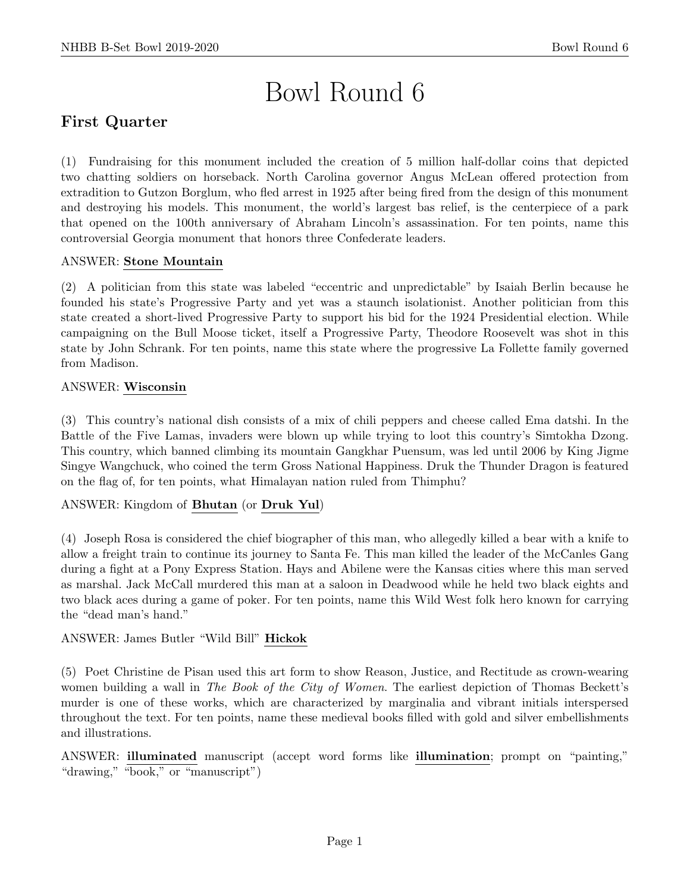# Bowl Round 6

# First Quarter

(1) Fundraising for this monument included the creation of 5 million half-dollar coins that depicted two chatting soldiers on horseback. North Carolina governor Angus McLean offered protection from extradition to Gutzon Borglum, who fled arrest in 1925 after being fired from the design of this monument and destroying his models. This monument, the world's largest bas relief, is the centerpiece of a park that opened on the 100th anniversary of Abraham Lincoln's assassination. For ten points, name this controversial Georgia monument that honors three Confederate leaders.

# ANSWER: Stone Mountain

(2) A politician from this state was labeled "eccentric and unpredictable" by Isaiah Berlin because he founded his state's Progressive Party and yet was a staunch isolationist. Another politician from this state created a short-lived Progressive Party to support his bid for the 1924 Presidential election. While campaigning on the Bull Moose ticket, itself a Progressive Party, Theodore Roosevelt was shot in this state by John Schrank. For ten points, name this state where the progressive La Follette family governed from Madison.

# ANSWER: Wisconsin

(3) This country's national dish consists of a mix of chili peppers and cheese called Ema datshi. In the Battle of the Five Lamas, invaders were blown up while trying to loot this country's Simtokha Dzong. This country, which banned climbing its mountain Gangkhar Puensum, was led until 2006 by King Jigme Singye Wangchuck, who coined the term Gross National Happiness. Druk the Thunder Dragon is featured on the flag of, for ten points, what Himalayan nation ruled from Thimphu?

# ANSWER: Kingdom of Bhutan (or Druk Yul)

(4) Joseph Rosa is considered the chief biographer of this man, who allegedly killed a bear with a knife to allow a freight train to continue its journey to Santa Fe. This man killed the leader of the McCanles Gang during a fight at a Pony Express Station. Hays and Abilene were the Kansas cities where this man served as marshal. Jack McCall murdered this man at a saloon in Deadwood while he held two black eights and two black aces during a game of poker. For ten points, name this Wild West folk hero known for carrying the "dead man's hand."

# ANSWER: James Butler "Wild Bill" Hickok

(5) Poet Christine de Pisan used this art form to show Reason, Justice, and Rectitude as crown-wearing women building a wall in *The Book of the City of Women*. The earliest depiction of Thomas Beckett's murder is one of these works, which are characterized by marginalia and vibrant initials interspersed throughout the text. For ten points, name these medieval books filled with gold and silver embellishments and illustrations.

ANSWER: illuminated manuscript (accept word forms like illumination; prompt on "painting," "drawing," "book," or "manuscript")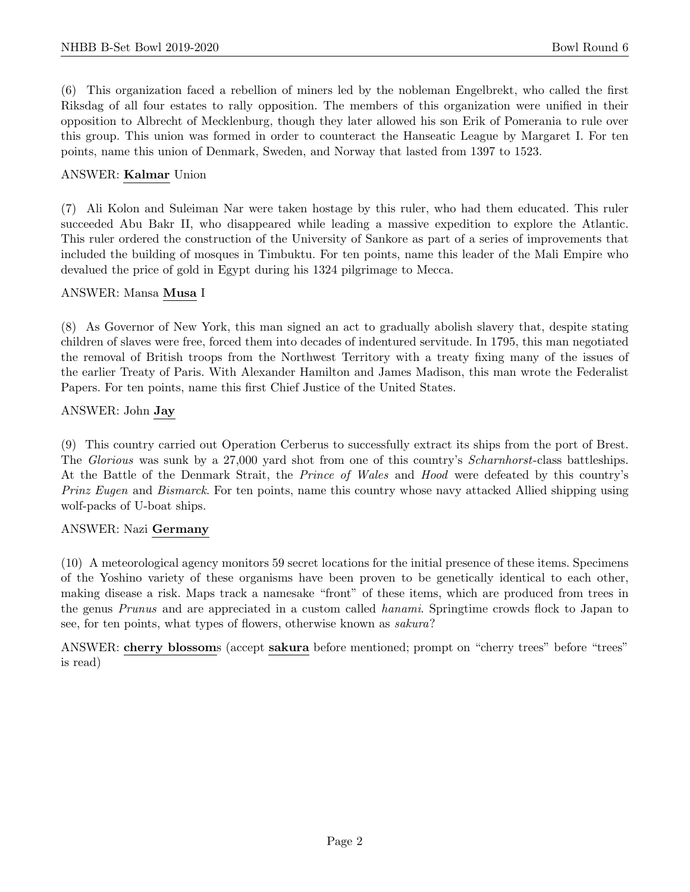(6) This organization faced a rebellion of miners led by the nobleman Engelbrekt, who called the first Riksdag of all four estates to rally opposition. The members of this organization were unified in their opposition to Albrecht of Mecklenburg, though they later allowed his son Erik of Pomerania to rule over this group. This union was formed in order to counteract the Hanseatic League by Margaret I. For ten points, name this union of Denmark, Sweden, and Norway that lasted from 1397 to 1523.

#### ANSWER: Kalmar Union

(7) Ali Kolon and Suleiman Nar were taken hostage by this ruler, who had them educated. This ruler succeeded Abu Bakr II, who disappeared while leading a massive expedition to explore the Atlantic. This ruler ordered the construction of the University of Sankore as part of a series of improvements that included the building of mosques in Timbuktu. For ten points, name this leader of the Mali Empire who devalued the price of gold in Egypt during his 1324 pilgrimage to Mecca.

#### ANSWER: Mansa Musa I

(8) As Governor of New York, this man signed an act to gradually abolish slavery that, despite stating children of slaves were free, forced them into decades of indentured servitude. In 1795, this man negotiated the removal of British troops from the Northwest Territory with a treaty fixing many of the issues of the earlier Treaty of Paris. With Alexander Hamilton and James Madison, this man wrote the Federalist Papers. For ten points, name this first Chief Justice of the United States.

#### ANSWER: John Jay

(9) This country carried out Operation Cerberus to successfully extract its ships from the port of Brest. The *Glorious* was sunk by a 27,000 yard shot from one of this country's *Scharnhorst*-class battleships. At the Battle of the Denmark Strait, the Prince of Wales and Hood were defeated by this country's Prinz Eugen and Bismarck. For ten points, name this country whose navy attacked Allied shipping using wolf-packs of U-boat ships.

# ANSWER: Nazi Germany

(10) A meteorological agency monitors 59 secret locations for the initial presence of these items. Specimens of the Yoshino variety of these organisms have been proven to be genetically identical to each other, making disease a risk. Maps track a namesake "front" of these items, which are produced from trees in the genus Prunus and are appreciated in a custom called hanami. Springtime crowds flock to Japan to see, for ten points, what types of flowers, otherwise known as sakura?

ANSWER: cherry blossoms (accept sakura before mentioned; prompt on "cherry trees" before "trees" is read)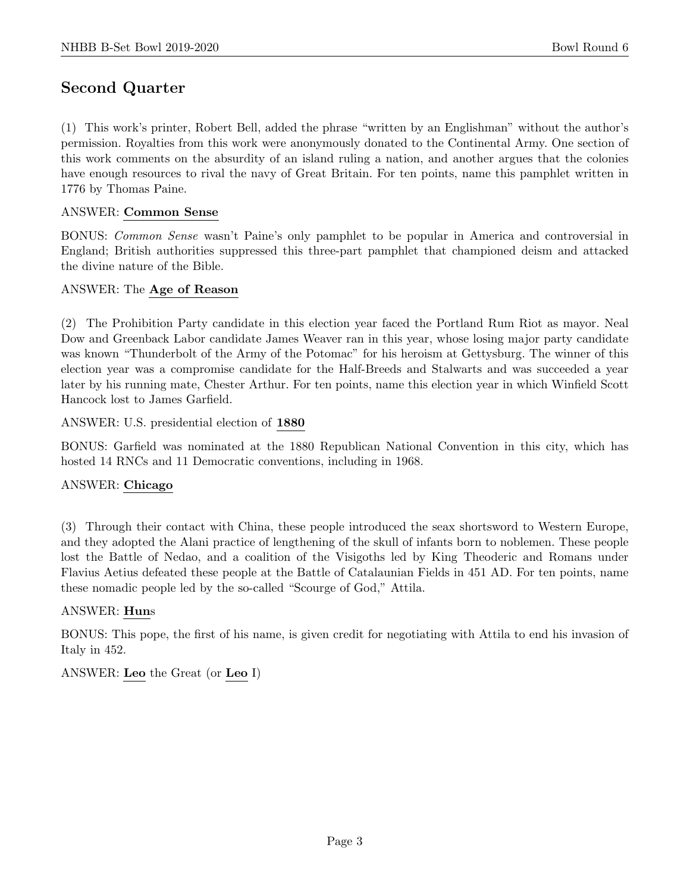# Second Quarter

(1) This work's printer, Robert Bell, added the phrase "written by an Englishman" without the author's permission. Royalties from this work were anonymously donated to the Continental Army. One section of this work comments on the absurdity of an island ruling a nation, and another argues that the colonies have enough resources to rival the navy of Great Britain. For ten points, name this pamphlet written in 1776 by Thomas Paine.

### ANSWER: Common Sense

BONUS: Common Sense wasn't Paine's only pamphlet to be popular in America and controversial in England; British authorities suppressed this three-part pamphlet that championed deism and attacked the divine nature of the Bible.

#### ANSWER: The Age of Reason

(2) The Prohibition Party candidate in this election year faced the Portland Rum Riot as mayor. Neal Dow and Greenback Labor candidate James Weaver ran in this year, whose losing major party candidate was known "Thunderbolt of the Army of the Potomac" for his heroism at Gettysburg. The winner of this election year was a compromise candidate for the Half-Breeds and Stalwarts and was succeeded a year later by his running mate, Chester Arthur. For ten points, name this election year in which Winfield Scott Hancock lost to James Garfield.

ANSWER: U.S. presidential election of 1880

BONUS: Garfield was nominated at the 1880 Republican National Convention in this city, which has hosted 14 RNCs and 11 Democratic conventions, including in 1968.

# ANSWER: Chicago

(3) Through their contact with China, these people introduced the seax shortsword to Western Europe, and they adopted the Alani practice of lengthening of the skull of infants born to noblemen. These people lost the Battle of Nedao, and a coalition of the Visigoths led by King Theoderic and Romans under Flavius Aetius defeated these people at the Battle of Catalaunian Fields in 451 AD. For ten points, name these nomadic people led by the so-called "Scourge of God," Attila.

# ANSWER: Huns

BONUS: This pope, the first of his name, is given credit for negotiating with Attila to end his invasion of Italy in 452.

ANSWER: Leo the Great (or Leo I)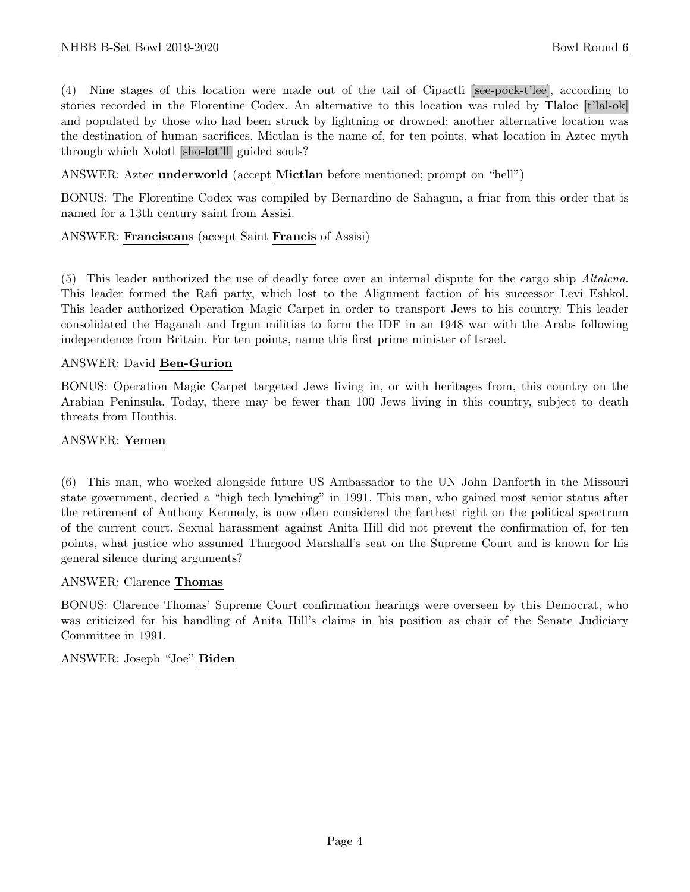(4) Nine stages of this location were made out of the tail of Cipactli [see-pock-t'lee], according to stories recorded in the Florentine Codex. An alternative to this location was ruled by Tlaloc [t'lal-ok] and populated by those who had been struck by lightning or drowned; another alternative location was the destination of human sacrifices. Mictlan is the name of, for ten points, what location in Aztec myth through which Xolotl [sho-lot'll] guided souls?

ANSWER: Aztec underworld (accept Mictlan before mentioned; prompt on "hell")

BONUS: The Florentine Codex was compiled by Bernardino de Sahagun, a friar from this order that is named for a 13th century saint from Assisi.

#### ANSWER: Franciscans (accept Saint Francis of Assisi)

(5) This leader authorized the use of deadly force over an internal dispute for the cargo ship Altalena. This leader formed the Rafi party, which lost to the Alignment faction of his successor Levi Eshkol. This leader authorized Operation Magic Carpet in order to transport Jews to his country. This leader consolidated the Haganah and Irgun militias to form the IDF in an 1948 war with the Arabs following independence from Britain. For ten points, name this first prime minister of Israel.

#### ANSWER: David Ben-Gurion

BONUS: Operation Magic Carpet targeted Jews living in, or with heritages from, this country on the Arabian Peninsula. Today, there may be fewer than 100 Jews living in this country, subject to death threats from Houthis.

#### ANSWER: Yemen

(6) This man, who worked alongside future US Ambassador to the UN John Danforth in the Missouri state government, decried a "high tech lynching" in 1991. This man, who gained most senior status after the retirement of Anthony Kennedy, is now often considered the farthest right on the political spectrum of the current court. Sexual harassment against Anita Hill did not prevent the confirmation of, for ten points, what justice who assumed Thurgood Marshall's seat on the Supreme Court and is known for his general silence during arguments?

#### ANSWER: Clarence Thomas

BONUS: Clarence Thomas' Supreme Court confirmation hearings were overseen by this Democrat, who was criticized for his handling of Anita Hill's claims in his position as chair of the Senate Judiciary Committee in 1991.

ANSWER: Joseph "Joe" Biden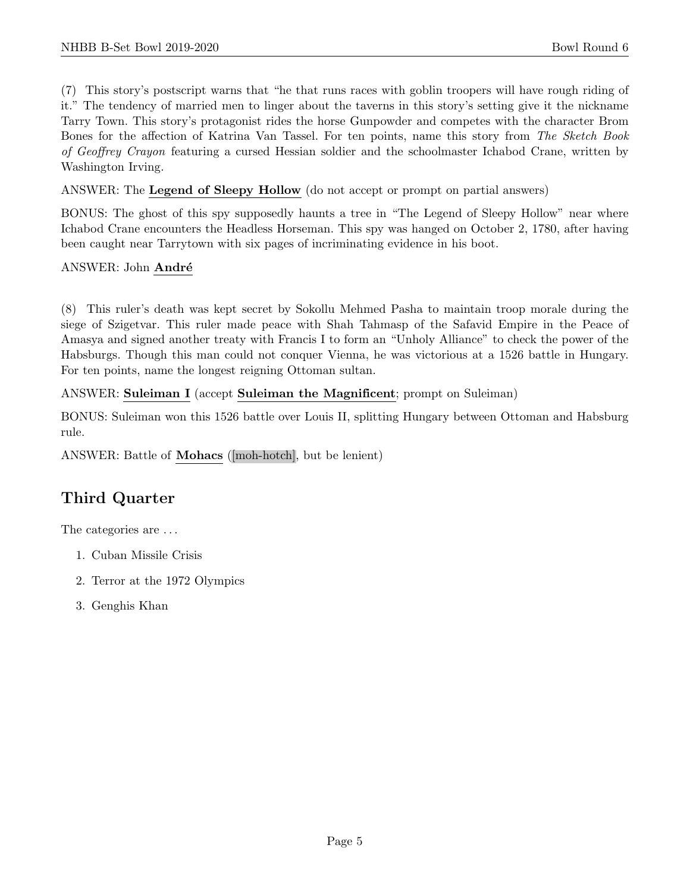(7) This story's postscript warns that "he that runs races with goblin troopers will have rough riding of it." The tendency of married men to linger about the taverns in this story's setting give it the nickname Tarry Town. This story's protagonist rides the horse Gunpowder and competes with the character Brom Bones for the affection of Katrina Van Tassel. For ten points, name this story from The Sketch Book of Geoffrey Crayon featuring a cursed Hessian soldier and the schoolmaster Ichabod Crane, written by Washington Irving.

ANSWER: The Legend of Sleepy Hollow (do not accept or prompt on partial answers)

BONUS: The ghost of this spy supposedly haunts a tree in "The Legend of Sleepy Hollow" near where Ichabod Crane encounters the Headless Horseman. This spy was hanged on October 2, 1780, after having been caught near Tarrytown with six pages of incriminating evidence in his boot.

ANSWER: John André

(8) This ruler's death was kept secret by Sokollu Mehmed Pasha to maintain troop morale during the siege of Szigetvar. This ruler made peace with Shah Tahmasp of the Safavid Empire in the Peace of Amasya and signed another treaty with Francis I to form an "Unholy Alliance" to check the power of the Habsburgs. Though this man could not conquer Vienna, he was victorious at a 1526 battle in Hungary. For ten points, name the longest reigning Ottoman sultan.

ANSWER: Suleiman I (accept Suleiman the Magnificent; prompt on Suleiman)

BONUS: Suleiman won this 1526 battle over Louis II, splitting Hungary between Ottoman and Habsburg rule.

ANSWER: Battle of Mohacs ([moh-hotch], but be lenient)

# Third Quarter

The categories are  $\dots$ 

- 1. Cuban Missile Crisis
- 2. Terror at the 1972 Olympics
- 3. Genghis Khan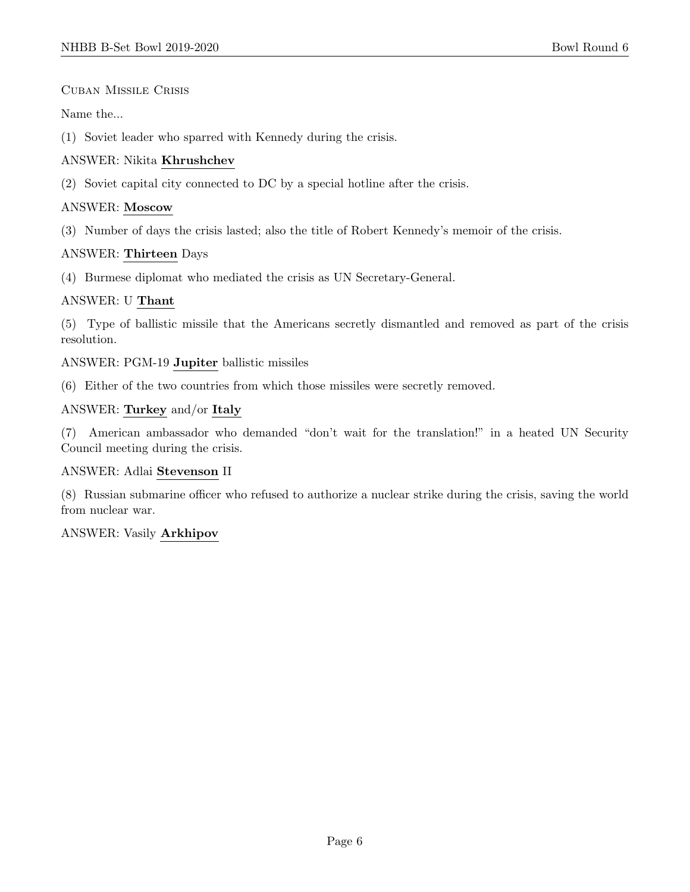Cuban Missile Crisis

Name the...

(1) Soviet leader who sparred with Kennedy during the crisis.

# ANSWER: Nikita Khrushchev

(2) Soviet capital city connected to DC by a special hotline after the crisis.

# ANSWER: Moscow

(3) Number of days the crisis lasted; also the title of Robert Kennedy's memoir of the crisis.

# ANSWER: Thirteen Days

(4) Burmese diplomat who mediated the crisis as UN Secretary-General.

# ANSWER: U Thant

(5) Type of ballistic missile that the Americans secretly dismantled and removed as part of the crisis resolution.

ANSWER: PGM-19 Jupiter ballistic missiles

(6) Either of the two countries from which those missiles were secretly removed.

# ANSWER: Turkey and/or Italy

(7) American ambassador who demanded "don't wait for the translation!" in a heated UN Security Council meeting during the crisis.

# ANSWER: Adlai Stevenson II

(8) Russian submarine officer who refused to authorize a nuclear strike during the crisis, saving the world from nuclear war.

# ANSWER: Vasily Arkhipov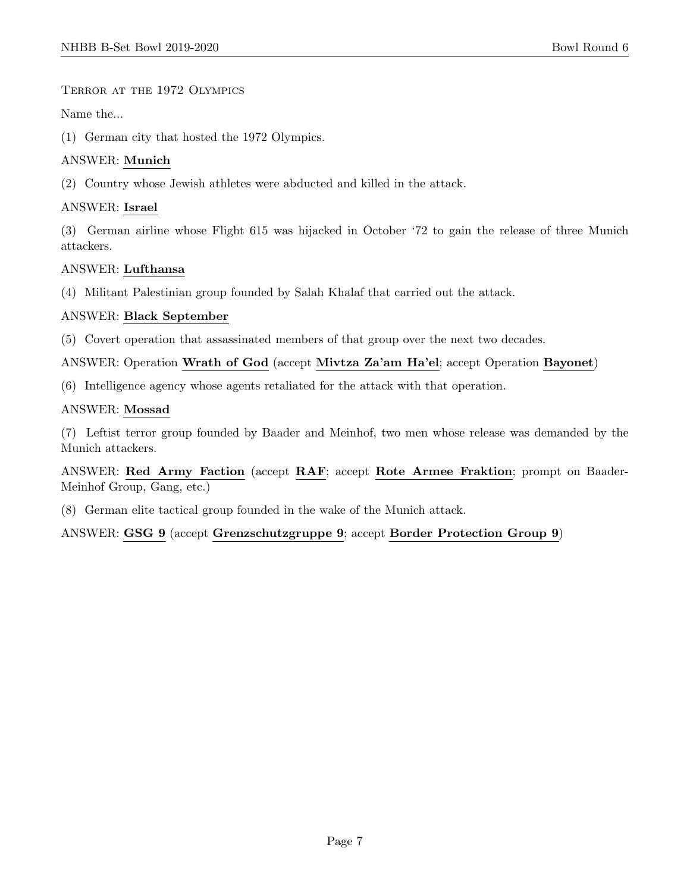Terror at the 1972 Olympics

Name the...

(1) German city that hosted the 1972 Olympics.

# ANSWER: Munich

(2) Country whose Jewish athletes were abducted and killed in the attack.

# ANSWER: Israel

(3) German airline whose Flight 615 was hijacked in October '72 to gain the release of three Munich attackers.

# ANSWER: Lufthansa

(4) Militant Palestinian group founded by Salah Khalaf that carried out the attack.

#### ANSWER: Black September

(5) Covert operation that assassinated members of that group over the next two decades.

ANSWER: Operation Wrath of God (accept Mivtza Za'am Ha'el; accept Operation Bayonet)

(6) Intelligence agency whose agents retaliated for the attack with that operation.

#### ANSWER: Mossad

(7) Leftist terror group founded by Baader and Meinhof, two men whose release was demanded by the Munich attackers.

ANSWER: Red Army Faction (accept RAF; accept Rote Armee Fraktion; prompt on Baader-Meinhof Group, Gang, etc.)

(8) German elite tactical group founded in the wake of the Munich attack.

ANSWER: GSG 9 (accept Grenzschutzgruppe 9; accept Border Protection Group 9)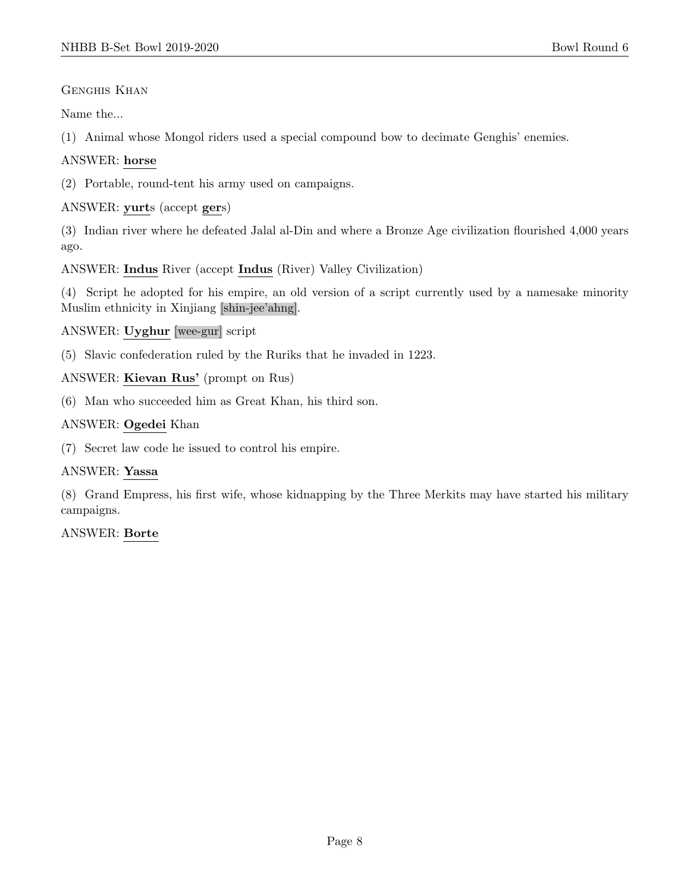# Genghis Khan

Name the...

(1) Animal whose Mongol riders used a special compound bow to decimate Genghis' enemies.

# ANSWER: horse

(2) Portable, round-tent his army used on campaigns.

ANSWER: yurts (accept gers)

(3) Indian river where he defeated Jalal al-Din and where a Bronze Age civilization flourished 4,000 years ago.

ANSWER: Indus River (accept Indus (River) Valley Civilization)

(4) Script he adopted for his empire, an old version of a script currently used by a namesake minority Muslim ethnicity in Xinjiang [shin-jee'ahng].

# ANSWER: Uyghur [wee-gur] script

(5) Slavic confederation ruled by the Ruriks that he invaded in 1223.

ANSWER: Kievan Rus' (prompt on Rus)

(6) Man who succeeded him as Great Khan, his third son.

# ANSWER: Ogedei Khan

(7) Secret law code he issued to control his empire.

# ANSWER: Yassa

(8) Grand Empress, his first wife, whose kidnapping by the Three Merkits may have started his military campaigns.

# ANSWER: Borte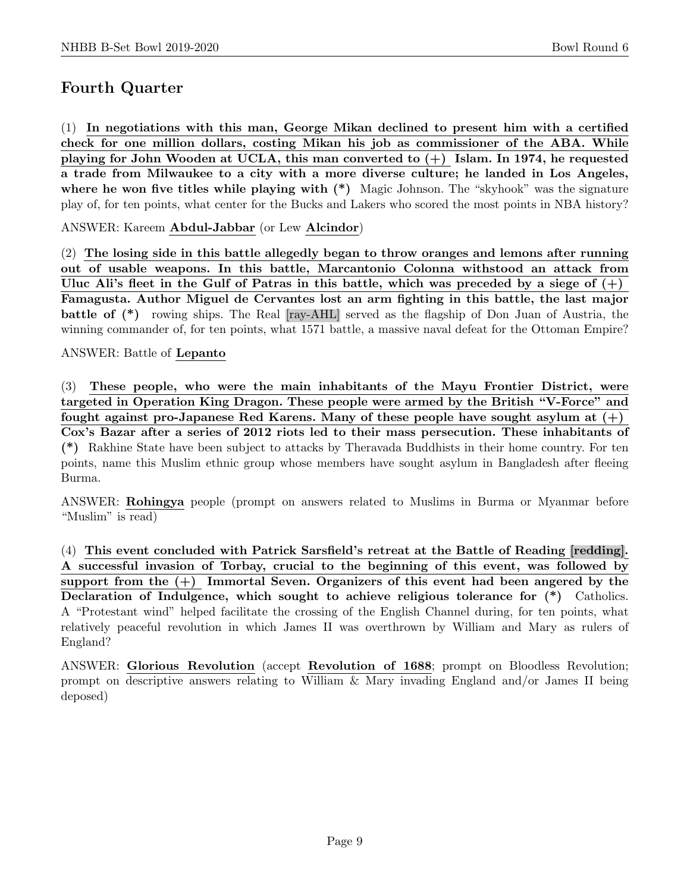# Fourth Quarter

(1) In negotiations with this man, George Mikan declined to present him with a certified check for one million dollars, costing Mikan his job as commissioner of the ABA. While playing for John Wooden at UCLA, this man converted to  $(+)$  Islam. In 1974, he requested a trade from Milwaukee to a city with a more diverse culture; he landed in Los Angeles, where he won five titles while playing with  $(*)$  Magic Johnson. The "skyhook" was the signature play of, for ten points, what center for the Bucks and Lakers who scored the most points in NBA history?

ANSWER: Kareem Abdul-Jabbar (or Lew Alcindor)

(2) The losing side in this battle allegedly began to throw oranges and lemons after running out of usable weapons. In this battle, Marcantonio Colonna withstood an attack from Uluc Ali's fleet in the Gulf of Patras in this battle, which was preceded by a siege of  $(+)$ Famagusta. Author Miguel de Cervantes lost an arm fighting in this battle, the last major battle of (\*) rowing ships. The Real [ray-AHL] served as the flagship of Don Juan of Austria, the winning commander of, for ten points, what 1571 battle, a massive naval defeat for the Ottoman Empire?

#### ANSWER: Battle of Lepanto

(3) These people, who were the main inhabitants of the Mayu Frontier District, were targeted in Operation King Dragon. These people were armed by the British "V-Force" and fought against pro-Japanese Red Karens. Many of these people have sought asylum at  $(+)$ Cox's Bazar after a series of 2012 riots led to their mass persecution. These inhabitants of (\*) Rakhine State have been subject to attacks by Theravada Buddhists in their home country. For ten points, name this Muslim ethnic group whose members have sought asylum in Bangladesh after fleeing Burma.

ANSWER: Rohingya people (prompt on answers related to Muslims in Burma or Myanmar before "Muslim" is read)

(4) This event concluded with Patrick Sarsfield's retreat at the Battle of Reading [redding]. A successful invasion of Torbay, crucial to the beginning of this event, was followed by support from the  $(+)$  Immortal Seven. Organizers of this event had been angered by the Declaration of Indulgence, which sought to achieve religious tolerance for (\*) Catholics. A "Protestant wind" helped facilitate the crossing of the English Channel during, for ten points, what relatively peaceful revolution in which James II was overthrown by William and Mary as rulers of England?

ANSWER: Glorious Revolution (accept Revolution of 1688; prompt on Bloodless Revolution; prompt on descriptive answers relating to William & Mary invading England and/or James II being deposed)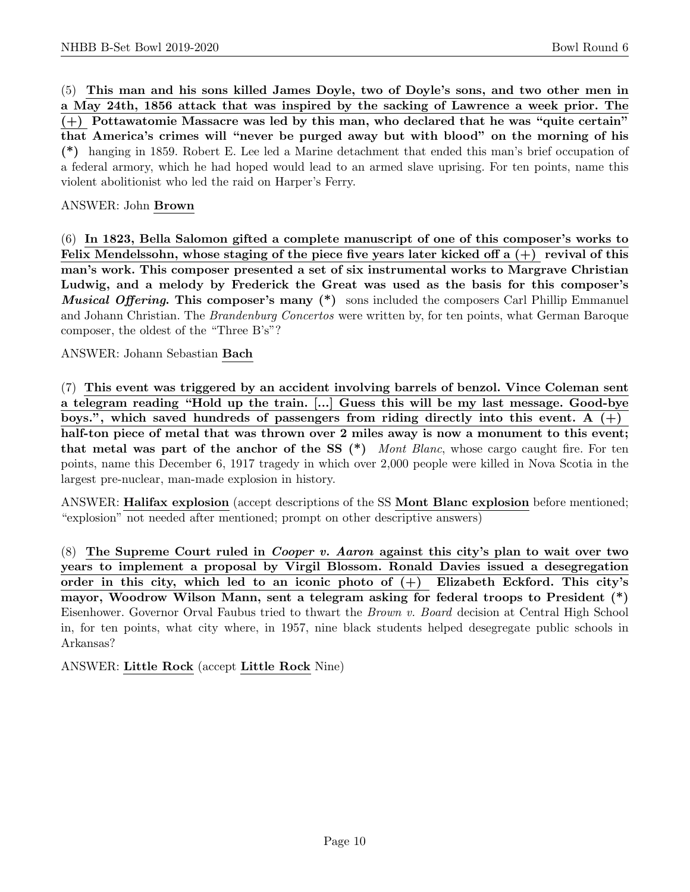(5) This man and his sons killed James Doyle, two of Doyle's sons, and two other men in a May 24th, 1856 attack that was inspired by the sacking of Lawrence a week prior. The (+) Pottawatomie Massacre was led by this man, who declared that he was "quite certain" that America's crimes will "never be purged away but with blood" on the morning of his (\*) hanging in 1859. Robert E. Lee led a Marine detachment that ended this man's brief occupation of a federal armory, which he had hoped would lead to an armed slave uprising. For ten points, name this violent abolitionist who led the raid on Harper's Ferry.

### ANSWER: John Brown

(6) In 1823, Bella Salomon gifted a complete manuscript of one of this composer's works to Felix Mendelssohn, whose staging of the piece five years later kicked off a  $(+)$  revival of this man's work. This composer presented a set of six instrumental works to Margrave Christian Ludwig, and a melody by Frederick the Great was used as the basis for this composer's **Musical Offering. This composer's many (\*)** sons included the composers Carl Phillip Emmanuel and Johann Christian. The *Brandenburg Concertos* were written by, for ten points, what German Baroque composer, the oldest of the "Three B's"?

ANSWER: Johann Sebastian Bach

(7) This event was triggered by an accident involving barrels of benzol. Vince Coleman sent a telegram reading "Hold up the train. [...] Guess this will be my last message. Good-bye boys.", which saved hundreds of passengers from riding directly into this event. A  $(+)$ half-ton piece of metal that was thrown over 2 miles away is now a monument to this event; that metal was part of the anchor of the SS  $(*)$  Mont Blanc, whose cargo caught fire. For ten points, name this December 6, 1917 tragedy in which over 2,000 people were killed in Nova Scotia in the largest pre-nuclear, man-made explosion in history.

ANSWER: Halifax explosion (accept descriptions of the SS Mont Blanc explosion before mentioned; "explosion" not needed after mentioned; prompt on other descriptive answers)

 $(8)$  The Supreme Court ruled in *Cooper v. Aaron* against this city's plan to wait over two years to implement a proposal by Virgil Blossom. Ronald Davies issued a desegregation order in this city, which led to an iconic photo of (+) Elizabeth Eckford. This city's mayor, Woodrow Wilson Mann, sent a telegram asking for federal troops to President (\*) Eisenhower. Governor Orval Faubus tried to thwart the Brown v. Board decision at Central High School in, for ten points, what city where, in 1957, nine black students helped desegregate public schools in Arkansas?

ANSWER: Little Rock (accept Little Rock Nine)